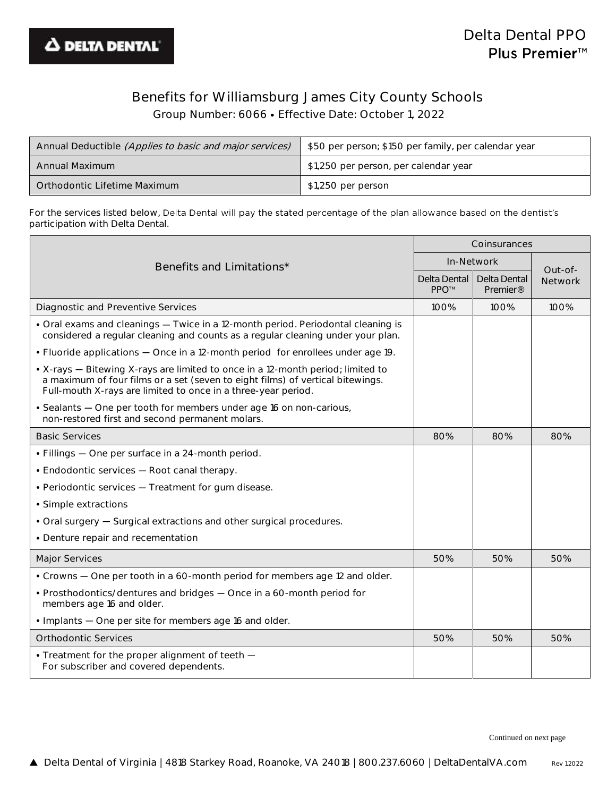

## Benefits for Williamsburg James City County Schools

Group Number: 6066 Effective Date: October 1, 2022

| Annual Deductible (Applies to basic and major services) | \$50 per person; \$150 per family, per calendar year |
|---------------------------------------------------------|------------------------------------------------------|
| Annual Maximum                                          | \$1,250 per person, per calendar year                |
| Orthodontic Lifetime Maximum                            | \$1,250 per person                                   |

For the services listed below, Delta Dental will pay the stated percentage of the plan allowance based on the dentist's participation with Delta Dental.

|                                                                                                                                                                                                                                    |      | Coinsurances                         |                           |  |
|------------------------------------------------------------------------------------------------------------------------------------------------------------------------------------------------------------------------------------|------|--------------------------------------|---------------------------|--|
| Benefits and Limitations*                                                                                                                                                                                                          |      | In-Network                           |                           |  |
|                                                                                                                                                                                                                                    |      | Delta Dental<br>Premier <sup>®</sup> | Out-of-<br><b>Network</b> |  |
| Diagnostic and Preventive Services                                                                                                                                                                                                 | 100% | 100%                                 | 100%                      |  |
| • Oral exams and cleanings - Twice in a 12-month period. Periodontal cleaning is<br>considered a regular cleaning and counts as a regular cleaning under your plan.                                                                |      |                                      |                           |  |
| . Fluoride applications - Once in a 12-month period for enrollees under age 19.                                                                                                                                                    |      |                                      |                           |  |
| • X-rays - Bitewing X-rays are limited to once in a 12-month period; limited to<br>a maximum of four films or a set (seven to eight films) of vertical bitewings.<br>Full-mouth X-rays are limited to once in a three-year period. |      |                                      |                           |  |
| · Sealants - One per tooth for members under age 16 on non-carious,<br>non-restored first and second permanent molars.                                                                                                             |      |                                      |                           |  |
| <b>Basic Services</b>                                                                                                                                                                                                              | 80%  | 80%                                  | 80%                       |  |
| • Fillings - One per surface in a 24-month period.                                                                                                                                                                                 |      |                                      |                           |  |
| • Endodontic services - Root canal therapy.                                                                                                                                                                                        |      |                                      |                           |  |
| • Periodontic services - Treatment for gum disease.                                                                                                                                                                                |      |                                      |                           |  |
| • Simple extractions                                                                                                                                                                                                               |      |                                      |                           |  |
| • Oral surgery - Surgical extractions and other surgical procedures.                                                                                                                                                               |      |                                      |                           |  |
| • Denture repair and recementation                                                                                                                                                                                                 |      |                                      |                           |  |
| Major Services                                                                                                                                                                                                                     | 50%  | 50%                                  | 50%                       |  |
| • Crowns - One per tooth in a 60-month period for members age 12 and older.                                                                                                                                                        |      |                                      |                           |  |
| • Prosthodontics/dentures and bridges - Once in a 60-month period for<br>members age 16 and older.                                                                                                                                 |      |                                      |                           |  |
| • Implants - One per site for members age 16 and older.                                                                                                                                                                            |      |                                      |                           |  |
| <b>Orthodontic Services</b>                                                                                                                                                                                                        | 50%  | 50%                                  | 50%                       |  |
| • Treatment for the proper alignment of teeth $-$<br>For subscriber and covered dependents.                                                                                                                                        |      |                                      |                           |  |

Continued on next page